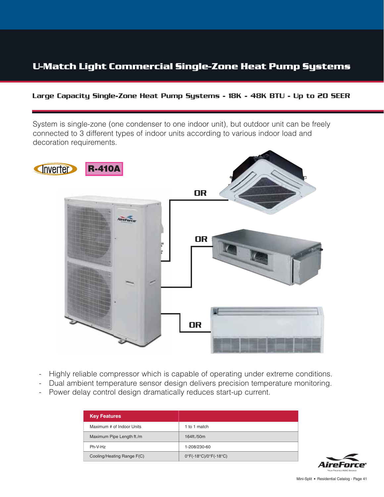#### Large Capacity Single-Zone Heat Pump Systems - 18K - 48K BTU - Up to 20 SEER

System is single-zone (one condenser to one indoor unit), but outdoor unit can be freely connected to 3 different types of indoor units according to various indoor load and decoration requirements.



- Highly reliable compressor which is capable of operating under extreme conditions.
- Dual ambient temperature sensor design delivers precision temperature monitoring.
- Power delay control design dramatically reduces start-up current.

| <b>Key Features</b>        |                                                                  |
|----------------------------|------------------------------------------------------------------|
| Maximum # of Indoor Units  | 1 to 1 match                                                     |
| Maximum Pipe Length ft./m  | 164ft./50m                                                       |
| Ph-V-Hz                    | 1-208/230-60                                                     |
| Cooling/Heating Range F(C) | $0^{\circ}$ F(-18 $^{\circ}$ C)/0 $^{\circ}$ F(-18 $^{\circ}$ C) |

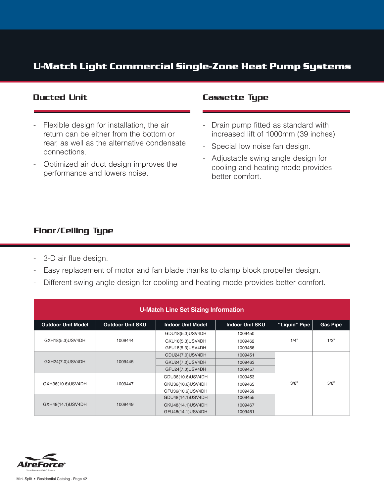- Flexible design for installation, the air return can be either from the bottom or rear, as well as the alternative condensate connections.
- Optimized air duct design improves the performance and lowers noise.

#### Ducted Unit **Cassette Type**

- Drain pump fitted as standard with increased lift of 1000mm (39 inches).
- Special low noise fan design.
- Adjustable swing angle design for cooling and heating mode provides better comfort.

#### Floor/Ceiling Type

- 3-D air flue design.
- Easy replacement of motor and fan blade thanks to clamp block propeller design.
- Different swing angle design for cooling and heating mode provides better comfort.

| <b>U-Match Line Set Sizing Information</b> |                         |                          |                        |               |                 |  |  |
|--------------------------------------------|-------------------------|--------------------------|------------------------|---------------|-----------------|--|--|
| <b>Outdoor Unit Model</b>                  | <b>Outdoor Unit SKU</b> | <b>Indoor Unit Model</b> | <b>Indoor Unit SKU</b> | "Liquid" Pipe | <b>Gas Pipe</b> |  |  |
|                                            |                         | GDU18(5.3)USV4DH         | 1009450                |               |                 |  |  |
| GXH18(5.3)USV4DH                           | 1009444                 | GKU18(5.3)USV4DH         | 1009462                | 1/4"          | 1/2"            |  |  |
|                                            |                         | GFU18(5.3)USV4DH         | 1009456                |               |                 |  |  |
|                                            |                         | GDU24(7.0)USV4DH         | 1009451                |               |                 |  |  |
| GXH24(7.0)USV4DH                           | 1009445                 | GKU24(7.0)USV4DH         | 1009463                |               |                 |  |  |
|                                            |                         | GFU24(7.0)USV4DH         | 1009457                |               |                 |  |  |
|                                            |                         | GDU36(10.6)USV4DH        | 1009453                |               |                 |  |  |
| GXH36(10.6)USV4DH                          | 1009447                 | GKU36(10.6)USV4DH        | 1009465                | 3/8"          | 5/8"            |  |  |
|                                            |                         | GFU36(10.6)USV4DH        | 1009459                |               |                 |  |  |
|                                            |                         | GDU48(14.1)USV4DH        | 1009455                |               |                 |  |  |
| GXH48(14.1)USV4DH                          | 1009449                 | GKU48(14.1)USV4DH        | 1009467                |               |                 |  |  |
|                                            |                         | GFU48(14.1)USV4DH        | 1009461                |               |                 |  |  |

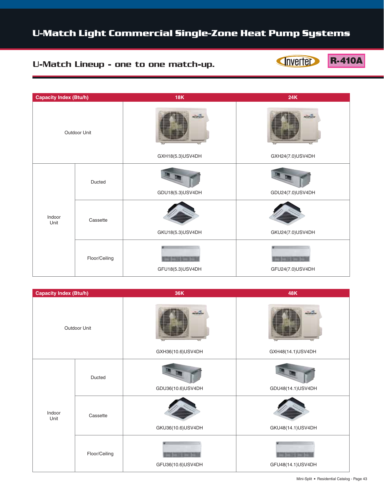#### U-Match Lineup - one to one match-up.

Inverter

**R-410A** 

| <b>Capacity Index (Btu/h)</b> |               | 18K                 | <b>24K</b>       |
|-------------------------------|---------------|---------------------|------------------|
| Outdoor Unit                  |               | <b>The Contract</b> | to of to a       |
|                               |               | GXH18(5.3)USV4DH    | GXH24(7.0)USV4DH |
| Indoor<br>Unit                | Ducted        | GDU18(5.3)USV4DH    | GDU24(7.0)USV4DH |
|                               | Cassette      | GKU18(5.3)USV4DH    | GKU24(7.0)USV4DH |
|                               | Floor/Ceiling | GFU18(5.3)USV4DH    | GFU24(7.0)USV4DH |

| <b>Capacity Index (Btu/h)</b> |               | 36K               | 48K               |
|-------------------------------|---------------|-------------------|-------------------|
| Outdoor Unit                  |               | a wê tari         |                   |
|                               |               | GXH36(10.6)USV4DH | GXH48(14.1)USV4DH |
| Indoor<br>Unit                | Ducted        | GDU36(10.6)USV4DH | GDU48(14.1)USV4DH |
|                               | Cassette      | GKU36(10.6)USV4DH | GKU48(14.1)USV4DH |
|                               | Floor/Ceiling | GFU36(10.6)USV4DH | GFU48(14.1)USV4DH |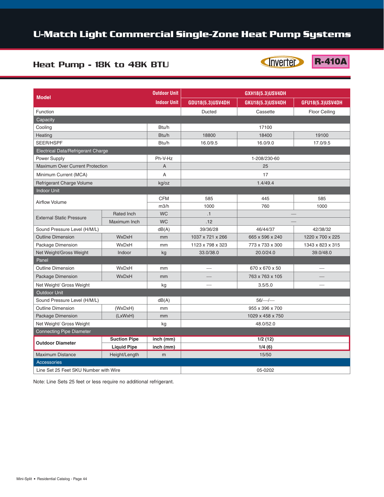#### Heat Pump - 18K to 48K BTU

Inverter

**R-410A** 

| <b>Model</b>                                   |                    | <b>Outdoor Unit</b> | GXH18(5.3)USV4DH |                  |                      |  |
|------------------------------------------------|--------------------|---------------------|------------------|------------------|----------------------|--|
|                                                |                    | <b>Indoor Unit</b>  | GDU18(5.3)USV4DH | GKU18(5.3)USV4DH | GFU18(5.3)USV4DH     |  |
| Function                                       |                    |                     | <b>Ducted</b>    | Cassette         | <b>Floor Ceiling</b> |  |
| Capacity                                       |                    |                     |                  |                  |                      |  |
| Cooling                                        |                    | Btu/h               |                  | 17100            |                      |  |
| Heating                                        |                    | Btu/h               | 18800            | 18400            | 19100                |  |
| SEER/HSPF                                      |                    | Btu/h               | 16.0/9.5         | 16.0/9.0         | 17.0/9.5             |  |
| Electrical Data/Refrigerant Charge             |                    |                     |                  |                  |                      |  |
| Power Supply                                   |                    | Ph-V-Hz             | 1-208/230-60     |                  |                      |  |
| <b>Maximum Over Current Protection</b>         |                    | A                   |                  | 25               |                      |  |
| Minimum Current (MCA)                          |                    | A                   |                  | 17               |                      |  |
| Refrigerant Charge Volume                      |                    | kg/oz               |                  | 1.4/49.4         |                      |  |
| <b>Indoor Unit</b>                             |                    |                     |                  |                  |                      |  |
|                                                |                    | <b>CFM</b>          | 585              | 445              | 585                  |  |
| <b>Airflow Volume</b>                          |                    | m3/h                | 1000             | 760              | 1000                 |  |
|                                                | Rated Inch         | <b>WC</b>           | .1               |                  |                      |  |
| <b>External Static Pressure</b>                | Maximum Inch       | <b>WC</b>           | .12              |                  |                      |  |
| Sound Pressure Level (H/M/L)                   |                    | dB(A)               | 39/36/28         | 46/44/37         | 42/38/32             |  |
| <b>Outline Dimension</b>                       | WxDxH              | mm                  | 1037 x 721 x 266 | 665 x 596 x 240  | 1220 x 700 x 225     |  |
| Package Dimension                              | WxDxH              | mm                  | 1123 x 798 x 323 | 773 x 733 x 300  | 1343 x 823 x 315     |  |
| Net Weight/Gross Weight                        | Indoor             | kg                  | 33.0/38.0        | 20.0/24.0        | 39.0/48.0            |  |
| Panel                                          |                    |                     |                  |                  |                      |  |
| <b>Outline Dimension</b>                       | WxDxH              | mm                  |                  | 670 x 670 x 50   |                      |  |
| Package Dimension                              | WxDxH              | mm                  |                  | 763 x 763 x 105  |                      |  |
| Net Weight/ Gross Weight                       |                    | kg                  |                  | 3.5/5.0          |                      |  |
| Outdoor Unit                                   |                    |                     |                  |                  |                      |  |
| Sound Pressure Level (H/M/L)                   |                    | dB(A)               | $56/-/-$         |                  |                      |  |
| <b>Outline Dimension</b>                       | (WxDxH)            | mm                  | 955 x 396 x 700  |                  |                      |  |
| Package Dimension                              | (LxWxH)            | mm                  | 1029 x 458 x 750 |                  |                      |  |
| Net Weight/ Gross Weight                       |                    | kg                  | 48.0/52.0        |                  |                      |  |
| <b>Connecting Pipe Diameter</b>                |                    |                     |                  |                  |                      |  |
| <b>Suction Pipe</b><br><b>Outdoor Diameter</b> |                    | inch (mm)           |                  | 1/2(12)          |                      |  |
|                                                | <b>Liquid Pipe</b> | inch (mm)           | 1/4(6)           |                  |                      |  |
| <b>Maximum Distance</b>                        | Height/Length      | m                   | 15/50            |                  |                      |  |
| <b>Accessories</b>                             |                    |                     |                  |                  |                      |  |
| Line Set 25 Feet SKU Number with Wire          |                    |                     |                  | 05-0202          |                      |  |

Note: Line Sets 25 feet or less require no additional refrigerant.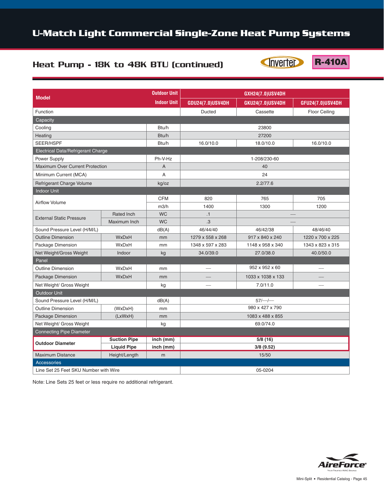## Heat Pump - 18K to 48K BTU (continued)

**CINVERTER R-410A** 

| <b>Model</b>                                                         |                   | <b>Outdoor Unit</b> |                                     | GXH24(7.0)USV4DH  |                      |  |  |
|----------------------------------------------------------------------|-------------------|---------------------|-------------------------------------|-------------------|----------------------|--|--|
|                                                                      |                   | <b>Indoor Unit</b>  | GDU24(7.0)USV4DH                    | GKU24(7.0)USV4DH  | GFU24(7.0)USV4DH     |  |  |
| Function                                                             |                   |                     | <b>Ducted</b>                       | Cassette          | <b>Floor Ceiling</b> |  |  |
| Capacity                                                             |                   |                     |                                     |                   |                      |  |  |
| Cooling                                                              |                   | Btu/h               |                                     | 23800             |                      |  |  |
| Heating                                                              |                   | Btu/h               | 27200                               |                   |                      |  |  |
| SEER/HSPF                                                            |                   | Btu/h               | 16.0/10.0<br>18.0/10.0              |                   | 16.0/10.0            |  |  |
| Electrical Data/Refrigerant Charge                                   |                   |                     |                                     |                   |                      |  |  |
| Power Supply                                                         |                   | Ph-V-Hz             |                                     | 1-208/230-60      |                      |  |  |
| Maximum Over Current Protection                                      |                   | A                   |                                     | 40                |                      |  |  |
| Minimum Current (MCA)                                                |                   | A                   |                                     | 24                |                      |  |  |
| Refrigerant Charge Volume                                            |                   | kg/oz               |                                     | 2.2/77.6          |                      |  |  |
| <b>Indoor Unit</b>                                                   |                   |                     |                                     |                   |                      |  |  |
|                                                                      |                   | <b>CFM</b>          | 820                                 | 765               | 705                  |  |  |
| <b>Airflow Volume</b>                                                |                   | m3/h                | 1400                                | 1300              | 1200                 |  |  |
| <b>External Static Pressure</b>                                      | <b>Rated Inch</b> | <b>WC</b>           | .1                                  |                   |                      |  |  |
|                                                                      | Maximum Inch      | <b>WC</b>           | .3                                  |                   |                      |  |  |
| Sound Pressure Level (H/M/L)                                         |                   | dB(A)               | 46/44/40                            | 46/42/38          | 48/46/40             |  |  |
| <b>Outline Dimension</b>                                             | <b>WxDxH</b>      | mm                  | 1279 x 558 x 268<br>917 x 840 x 240 |                   | 1220 x 700 x 225     |  |  |
| Package Dimension                                                    | WxDxH             | mm                  | 1348 x 597 x 283                    | 1148 x 958 x 340  | 1343 x 823 x 315     |  |  |
| Net Weight/Gross Weight                                              | Indoor            | kg                  | 34.0/39.0                           | 27.0/38.0         | 40.0/50.0            |  |  |
| Panel                                                                |                   |                     |                                     |                   |                      |  |  |
| <b>Outline Dimension</b>                                             | <b>WxDxH</b>      | mm                  |                                     | 952 x 952 x 60    |                      |  |  |
| Package Dimension                                                    | WxDxH             | mm                  |                                     | 1033 x 1038 x 133 |                      |  |  |
| Net Weight/ Gross Weight                                             |                   | kg                  |                                     | 7.0/11.0          |                      |  |  |
| <b>Outdoor Unit</b>                                                  |                   |                     |                                     |                   |                      |  |  |
| Sound Pressure Level (H/M/L)                                         |                   | dB(A)               |                                     | $57/-/-$          |                      |  |  |
| <b>Outline Dimension</b>                                             | (WxDxH)           | mm                  |                                     | 980 x 427 x 790   |                      |  |  |
| Package Dimension                                                    | (LxWxH)           | mm                  | 1083 x 488 x 855                    |                   |                      |  |  |
| Net Weight/ Gross Weight                                             |                   | kg                  | 69.0/74.0                           |                   |                      |  |  |
| <b>Connecting Pipe Diameter</b>                                      |                   |                     |                                     |                   |                      |  |  |
| <b>Suction Pipe</b><br><b>Outdoor Diameter</b><br><b>Liquid Pipe</b> |                   | inch (mm)           | 5/8(16)                             |                   |                      |  |  |
|                                                                      |                   | inch (mm)           | 3/8 (9.52)                          |                   |                      |  |  |
| <b>Maximum Distance</b>                                              | Height/Length     | m                   | 15/50                               |                   |                      |  |  |
| <b>Accessories</b>                                                   |                   |                     |                                     |                   |                      |  |  |
| Line Set 25 Feet SKU Number with Wire                                |                   |                     |                                     | 05-0204           |                      |  |  |

Note: Line Sets 25 feet or less require no additional refrigerant.

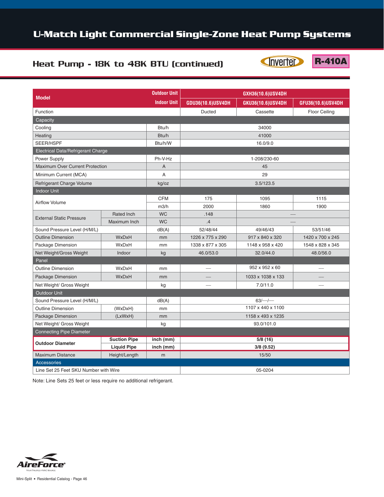Inverter

**R-410A** 

#### Heat Pump - 18K to 48K BTU (continued)

| <b>Model</b>                       |                     | <b>Outdoor Unit</b> | GXH36(10.6)USV4DH |                   |                      |  |
|------------------------------------|---------------------|---------------------|-------------------|-------------------|----------------------|--|
|                                    |                     | <b>Indoor Unit</b>  | GDU36(10.6)USV4DH | GKU36(10.6)USV4DH | GFU36(10.6)USV4DH    |  |
| Function                           |                     |                     | Ducted            | Cassette          | <b>Floor Ceiling</b> |  |
| Capacity                           |                     |                     |                   |                   |                      |  |
| Cooling                            |                     | Btu/h               |                   |                   |                      |  |
| Heating                            |                     | Btu/h               |                   | 41000             |                      |  |
| SEER/HSPF                          |                     | Btu/h/W             | 16.0/9.0          |                   |                      |  |
| Electrical Data/Refrigerant Charge |                     |                     |                   |                   |                      |  |
| Power Supply                       |                     | Ph-V-Hz             |                   | 1-208/230-60      |                      |  |
| Maximum Over Current Protection    |                     | A                   |                   | 45                |                      |  |
| Minimum Current (MCA)              |                     | A                   |                   | 29                |                      |  |
| Refrigerant Charge Volume          |                     | kg/oz               |                   | 3.5/123.5         |                      |  |
| <b>Indoor Unit</b>                 |                     |                     |                   |                   |                      |  |
|                                    |                     | <b>CFM</b>          | 175               | 1095              | 1115                 |  |
| <b>Airflow Volume</b>              |                     | m3/h                | 2000              | 1860              | 1900                 |  |
| <b>External Static Pressure</b>    | <b>Rated Inch</b>   | <b>WC</b>           | .148              |                   |                      |  |
|                                    | Maximum Inch        | <b>WC</b>           | .4                |                   |                      |  |
| Sound Pressure Level (H/M/L)       |                     | dB(A)               | 52/48/44          | 49/46/43          | 53/51/46             |  |
| <b>Outline Dimension</b>           | WxDxH               | mm                  | 1226 x 775 x 290  | 917 x 840 x 320   | 1420 x 700 x 245     |  |
| Package Dimension                  | WxDxH               | mm                  | 1338 x 877 x 305  | 1148 x 958 x 420  | 1548 x 828 x 345     |  |
| Net Weight/Gross Weight            | Indoor              | kg                  | 46.0/53.0         | 32.0/44.0         | 48.0/56.0            |  |
| Panel                              |                     |                     |                   |                   |                      |  |
| <b>Outline Dimension</b>           | WxDxH               | mm                  |                   | 952 x 952 x 60    |                      |  |
| Package Dimension                  | WxDxH               | mm                  |                   | 1033 x 1038 x 133 |                      |  |
| Net Weight/ Gross Weight           |                     | kg                  |                   | 7.0/11.0          |                      |  |
| <b>Outdoor Unit</b>                |                     |                     |                   |                   |                      |  |
| Sound Pressure Level (H/M/L)       |                     | dB(A)               | $63/-/-$          |                   |                      |  |
| <b>Outline Dimension</b>           | (WxDxH)             | mm                  | 1107 x 440 x 1100 |                   |                      |  |
| Package Dimension                  | (LxWxH)             | mm                  | 1158 x 493 x 1235 |                   |                      |  |
| Net Weight/ Gross Weight           |                     | kg                  | 93.0/101.0        |                   |                      |  |
| <b>Connecting Pipe Diameter</b>    |                     |                     |                   |                   |                      |  |
|                                    | <b>Suction Pipe</b> | inch (mm)           |                   | 5/8(16)           |                      |  |
| <b>Outdoor Diameter</b>            | <b>Liquid Pipe</b>  | inch (mm)           |                   | 3/8(9.52)         |                      |  |

Line Set 25 Feet SKU Number with Wire 05-0204

Note: Line Sets 25 feet or less require no additional refrigerant.

Maximum Distance Height/Length m 15/50



Accessories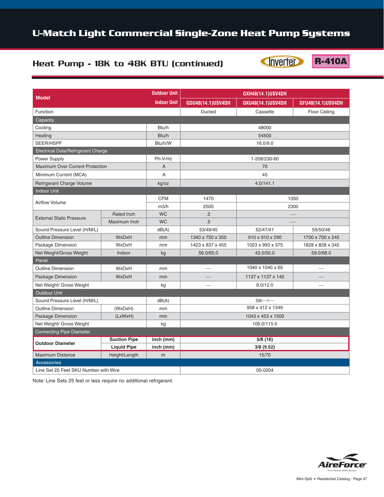## Heat Pump - 18K to 48K BTU (continued)

Inverter

**R-410A** 

| <b>Model</b>                                                         |               | <b>Outdoor Unit</b> | GXH48(14.1)USV4DH |                   |                      |  |  |  |
|----------------------------------------------------------------------|---------------|---------------------|-------------------|-------------------|----------------------|--|--|--|
|                                                                      |               | <b>Indoor Unit</b>  | GDU48(14.1)USV4DH | GKU48(14.1)USV4DH | GFU48(14.1)USV4DH    |  |  |  |
| Function                                                             |               |                     | <b>Ducted</b>     | Cassette          | <b>Floor Ceiling</b> |  |  |  |
| Capacity                                                             |               |                     |                   |                   |                      |  |  |  |
| Cooling                                                              |               | Btu/h               | 48000             |                   |                      |  |  |  |
| Heating                                                              |               | Btu/h               |                   | 54500             |                      |  |  |  |
| SEER/HSPF                                                            |               | Btu/h/W             | 16.0/9.0          |                   |                      |  |  |  |
| Electrical Data/Refrigerant Charge                                   |               |                     |                   |                   |                      |  |  |  |
| Power Supply                                                         |               | Ph-V-Hz             |                   | 1-208/230-60      |                      |  |  |  |
| Maximum Over Current Protection                                      |               | A                   |                   | 70                |                      |  |  |  |
| Minimum Current (MCA)                                                |               | $\overline{A}$      |                   | 45                |                      |  |  |  |
| Refrigerant Charge Volume                                            |               | kg/oz               |                   | 4.0/141.1         |                      |  |  |  |
| <b>Indoor Unit</b>                                                   |               |                     |                   |                   |                      |  |  |  |
|                                                                      |               | <b>CFM</b>          | 1470              | 1350              |                      |  |  |  |
| <b>Airflow Volume</b>                                                |               | m3/h                | 2500              | 2300              |                      |  |  |  |
| <b>Rated Inch</b>                                                    |               | <b>WC</b>           | $\overline{.2}$   |                   |                      |  |  |  |
| <b>External Static Pressure</b>                                      | Maximum Inch  | <b>WC</b>           | .5                |                   |                      |  |  |  |
| Sound Pressure Level (H/M/L)                                         |               | dB(A)               | 53/49/45          | 52/47/41          | 55/50/46             |  |  |  |
| <b>Outline Dimension</b>                                             | WxDxH         | mm                  | 1340 x 750 x 350  | 910 x 910 x 290   | 1700 x 700 x 245     |  |  |  |
| Package Dimension                                                    | <b>WxDxH</b>  | mm                  | 1423 x 837 x 455  | 1023 x 993 x 375  | 1828 x 828 x 345     |  |  |  |
| Net Weight/Gross Weight                                              | Indoor        | kg                  | 56.0/65.0         | 43.0/50.0         | 59.0/68.0            |  |  |  |
| Panel                                                                |               |                     |                   |                   |                      |  |  |  |
| <b>Outline Dimension</b>                                             | <b>WxDxH</b>  | mm                  |                   | 1040 x 1040 x 65  |                      |  |  |  |
| Package Dimension                                                    | WxDxH         | mm                  |                   | 1137 x 1137 x 140 |                      |  |  |  |
| Net Weight/ Gross Weight                                             |               | kg                  |                   | 8.0/12.0          |                      |  |  |  |
| <b>Outdoor Unit</b>                                                  |               |                     |                   |                   |                      |  |  |  |
| Sound Pressure Level (H/M/L)                                         |               | dB(A)               |                   | $59/-/-$          |                      |  |  |  |
| <b>Outline Dimension</b>                                             | (WxDxH)       | mm                  |                   | 958 x 412 x 1349  |                      |  |  |  |
| Package Dimension                                                    | (LxWxH)       | mm                  | 1043 x 453 x 1500 |                   |                      |  |  |  |
| Net Weight/ Gross Weight                                             |               | kg                  | 105.0/115.0       |                   |                      |  |  |  |
| <b>Connecting Pipe Diameter</b>                                      |               |                     |                   |                   |                      |  |  |  |
| <b>Suction Pipe</b><br><b>Outdoor Diameter</b><br><b>Liquid Pipe</b> |               | inch (mm)           | 5/8(16)           |                   |                      |  |  |  |
|                                                                      |               | inch (mm)           | 3/8 (9.52)        |                   |                      |  |  |  |
| <b>Maximum Distance</b>                                              | Height/Length | m                   | 15/70             |                   |                      |  |  |  |
| <b>Accessories</b>                                                   |               |                     |                   |                   |                      |  |  |  |
| Line Set 25 Feet SKU Number with Wire                                |               |                     |                   | 05-0204           |                      |  |  |  |

Note: Line Sets 25 feet or less require no additional refrigerant.